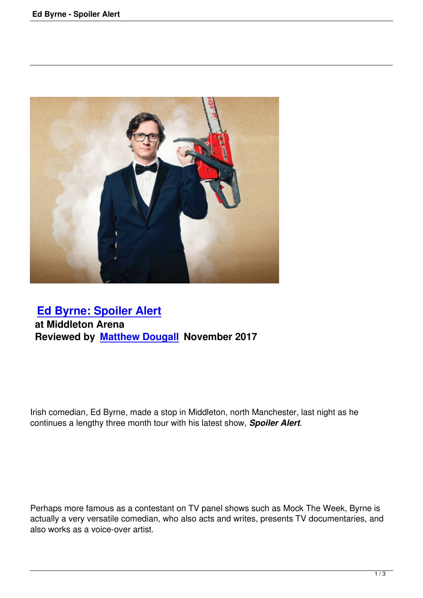

## **Ed Byrne: Spoiler Alert at Middleton Arena [Reviewed by Matthew Dou](ed-byrne-middleton-arena.html)gall November 2017**

Irish comedian, Ed Byrne, made a stop in Middleton, north Manchester, last night as he continues a lengthy three month tour with his latest show, *Spoiler Alert*.

Perhaps more famous as a contestant on TV panel shows such as Mock The Week, Byrne is actually a very versatile comedian, who also acts and writes, presents TV documentaries, and also works as a voice-over artist.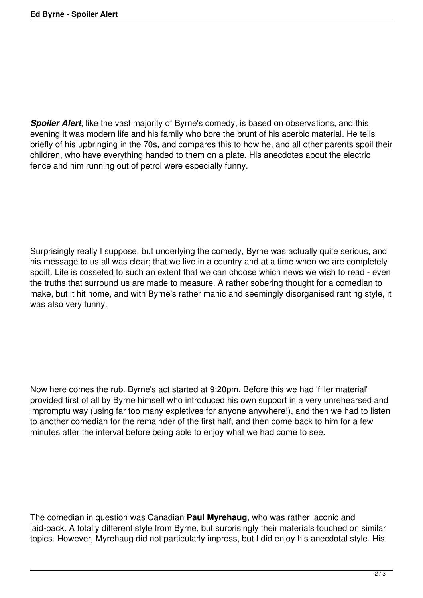**Spoiler Alert**, like the vast majority of Byrne's comedy, is based on observations, and this evening it was modern life and his family who bore the brunt of his acerbic material. He tells briefly of his upbringing in the 70s, and compares this to how he, and all other parents spoil their children, who have everything handed to them on a plate. His anecdotes about the electric fence and him running out of petrol were especially funny.

Surprisingly really I suppose, but underlying the comedy, Byrne was actually quite serious, and his message to us all was clear; that we live in a country and at a time when we are completely spoilt. Life is cosseted to such an extent that we can choose which news we wish to read - even the truths that surround us are made to measure. A rather sobering thought for a comedian to make, but it hit home, and with Byrne's rather manic and seemingly disorganised ranting style, it was also very funny.

Now here comes the rub. Byrne's act started at 9:20pm. Before this we had 'filler material' provided first of all by Byrne himself who introduced his own support in a very unrehearsed and impromptu way (using far too many expletives for anyone anywhere!), and then we had to listen to another comedian for the remainder of the first half, and then come back to him for a few minutes after the interval before being able to enjoy what we had come to see.

The comedian in question was Canadian **Paul Myrehaug**, who was rather laconic and laid-back. A totally different style from Byrne, but surprisingly their materials touched on similar topics. However, Myrehaug did not particularly impress, but I did enjoy his anecdotal style. His